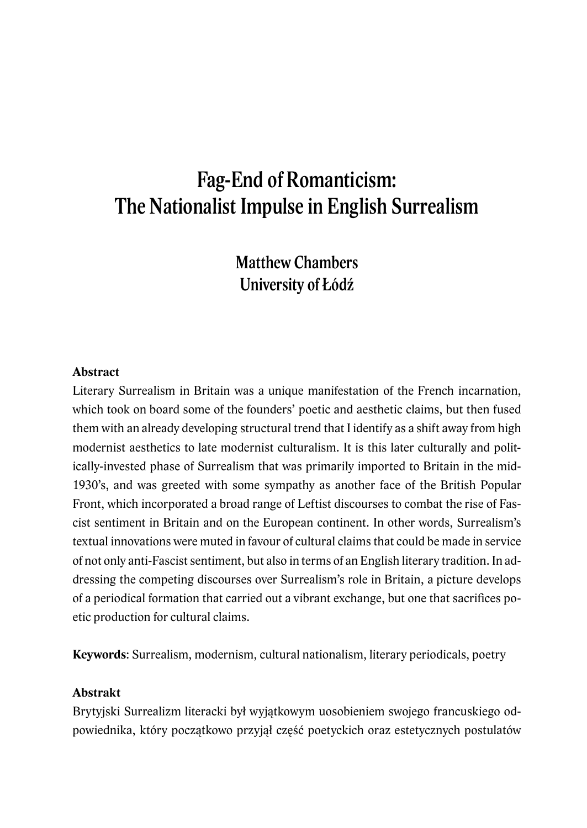# Fag-End of Romanticism: The Nationalist Impulse in English Surrealism

Matthew Chambers University of Łódź

#### **Abstract**

Literary Surrealism in Britain was a unique manifestation of the French incarnation, which took on board some of the founders' poetic and aesthetic claims, but then fused them with an already developing structural trend that I identify as a shift away from high modernist aesthetics to late modernist culturalism. It is this later culturally and politically-invested phase of Surrealism that was primarily imported to Britain in the mid-1930's, and was greeted with some sympathy as another face of the British Popular Front, which incorporated a broad range of Leftist discourses to combat the rise of Fascist sentiment in Britain and on the European continent. In other words, Surrealism's textual innovations were muted in favour of cultural claims that could be made in service of not only anti-Fascist sentiment, but also in terms of an English literary tradition. In addressing the competing discourses over Surrealism's role in Britain, a picture develops of a periodical formation that carried out a vibrant exchange, but one that sacrifices poetic production for cultural claims.

**Keywords**: Surrealism, modernism, cultural nationalism, literary periodicals, poetry

#### **Abstrakt**

Brytyjski Surrealizm literacki był wyjątkowym uosobieniem swojego francuskiego odpowiednika, który początkowo przyjął część poetyckich oraz estetycznych postulatów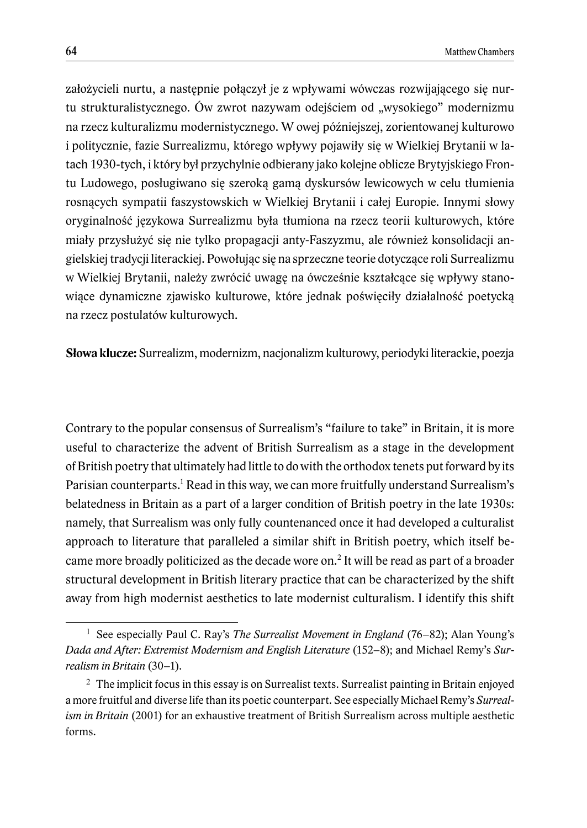założycieli nurtu, a następnie połączył je z wpływami wówczas rozwijającego się nurtu strukturalistycznego. Ów zwrot nazywam odejściem od "wysokiego" modernizmu na rzecz kulturalizmu modernistycznego. W owej późniejszej, zorientowanej kulturowo i politycznie, fazie Surrealizmu, którego wpływy pojawiły się w Wielkiej Brytanii w latach 1930-tych, i który był przychylnie odbierany jako kolejne oblicze Brytyjskiego Frontu Ludowego, posługiwano się szeroką gamą dyskursów lewicowych w celu tłumienia rosnących sympatii faszystowskich w Wielkiej Brytanii i całej Europie. Innymi słowy oryginalność językowa Surrealizmu była tłumiona na rzecz teorii kulturowych, które miały przysłużyć się nie tylko propagacji anty-Faszyzmu, ale również konsolidacji angielskiej tradycji literackiej. Powołując się na sprzeczne teorie dotyczące roli Surrealizmu w Wielkiej Brytanii, należy zwrócić uwagę na ówcześnie kształcące się wpływy stanowiące dynamiczne zjawisko kulturowe, które jednak poświęciły działalność poetycką na rzecz postulatów kulturowych.

**Słowa klucze:** Surrealizm, modernizm, nacjonalizm kulturowy, periodyki literackie, poezja

Contrary to the popular consensus of Surrealism's "failure to take" in Britain, it is more useful to characterize the advent of British Surrealism as a stage in the development of British poetry that ultimately had little to do with the orthodox tenets put forward by its Parisian counterparts.<sup>1</sup> Read in this way, we can more fruitfully understand Surrealism's belatedness in Britain as a part of a larger condition of British poetry in the late 1930s: namely, that Surrealism was only fully countenanced once it had developed a culturalist approach to literature that paralleled a similar shift in British poetry, which itself became more broadly politicized as the decade wore on.<sup>2</sup> It will be read as part of a broader structural development in British literary practice that can be characterized by the shift away from high modernist aesthetics to late modernist culturalism. I identify this shift

<sup>1</sup> See especially Paul C. Ray's *The Surrealist Movement in England* (76–82); Alan Young's *Dada and After: Extremist Modernism and English Literature* (152–8); and Michael Remy's *Surrealism in Britain* (30–1).

<sup>2</sup> The implicit focus in this essay is on Surrealist texts. Surrealist painting in Britain enjoyed a more fruitful and diverse life than its poetic counterpart. See especially Michael Remy's *Surrealism in Britain* (2001) for an exhaustive treatment of British Surrealism across multiple aesthetic forms.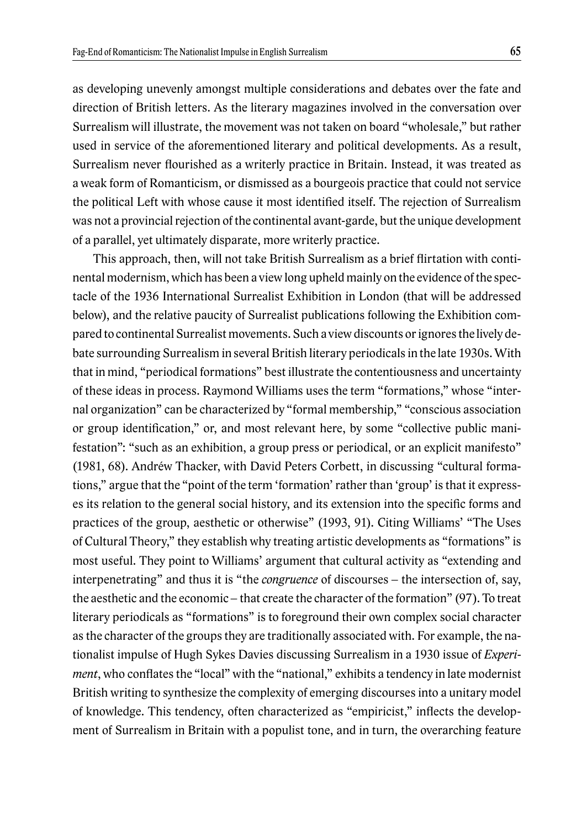as developing unevenly amongst multiple considerations and debates over the fate and direction of British letters. As the literary magazines involved in the conversation over Surrealism will illustrate, the movement was not taken on board "wholesale," but rather used in service of the aforementioned literary and political developments. As a result, Surrealism never flourished as a writerly practice in Britain. Instead, it was treated as a weak form of Romanticism, or dismissed as a bourgeois practice that could not service the political Left with whose cause it most identified itself. The rejection of Surrealism was not a provincial rejection of the continental avant-garde, but the unique development of a parallel, yet ultimately disparate, more writerly practice.

This approach, then, will not take British Surrealism as a brief flirtation with continental modernism, which has been a view long upheld mainly on the evidence of the spectacle of the 1936 International Surrealist Exhibition in London (that will be addressed below), and the relative paucity of Surrealist publications following the Exhibition compared to continental Surrealist movements. Such a view discounts or ignores the lively debate surrounding Surrealism in several British literary periodicals in the late 1930s. With that in mind, "periodical formations" best illustrate the contentiousness and uncertainty of these ideas in process. Raymond Williams uses the term "formations," whose "internal organization" can be characterized by "formal membership," "conscious association or group identification," or, and most relevant here, by some "collective public manifestation": "such as an exhibition, a group press or periodical, or an explicit manifesto" (1981, 68). Andréw Thacker, with David Peters Corbett, in discussing "cultural formations," argue that the "point of the term 'formation' rather than 'group' is that it expresses its relation to the general social history, and its extension into the specific forms and practices of the group, aesthetic or otherwise" (1993, 91). Citing Williams' "The Uses of Cultural Theory," they establish why treating artistic developments as "formations" is most useful. They point to Williams' argument that cultural activity as "extending and interpenetrating" and thus it is "the *congruence* of discourses – the intersection of, say, the aesthetic and the economic – that create the character of the formation" (97). To treat literary periodicals as "formations" is to foreground their own complex social character as the character of the groups they are traditionally associated with. For example, the nationalist impulse of Hugh Sykes Davies discussing Surrealism in a 1930 issue of *Experiment*, who conflates the "local" with the "national," exhibits a tendency in late modernist British writing to synthesize the complexity of emerging discourses into a unitary model of knowledge. This tendency, often characterized as "empiricist," inflects the development of Surrealism in Britain with a populist tone, and in turn, the overarching feature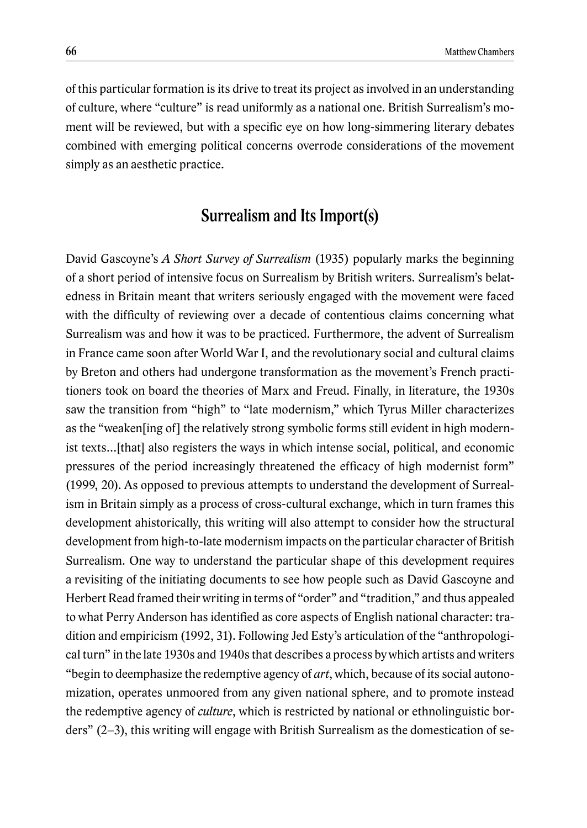of this particular formation is its drive to treat its project as involved in an understanding of culture, where "culture" is read uniformly as a national one. British Surrealism's moment will be reviewed, but with a specific eye on how long-simmering literary debates combined with emerging political concerns overrode considerations of the movement simply as an aesthetic practice.

## Surrealism and Its Import(s)

David Gascoyne's *A Short Survey of Surrealism* (1935) popularly marks the beginning of a short period of intensive focus on Surrealism by British writers. Surrealism's belatedness in Britain meant that writers seriously engaged with the movement were faced with the difficulty of reviewing over a decade of contentious claims concerning what Surrealism was and how it was to be practiced. Furthermore, the advent of Surrealism in France came soon after World War I, and the revolutionary social and cultural claims by Breton and others had undergone transformation as the movement's French practitioners took on board the theories of Marx and Freud. Finally, in literature, the 1930s saw the transition from "high" to "late modernism," which Tyrus Miller characterizes as the "weaken[ing of] the relatively strong symbolic forms still evident in high modernist texts...[that] also registers the ways in which intense social, political, and economic pressures of the period increasingly threatened the efficacy of high modernist form" (1999, 20). As opposed to previous attempts to understand the development of Surrealism in Britain simply as a process of cross-cultural exchange, which in turn frames this development ahistorically, this writing will also attempt to consider how the structural development from high-to-late modernism impacts on the particular character of British Surrealism. One way to understand the particular shape of this development requires a revisiting of the initiating documents to see how people such as David Gascoyne and Herbert Read framed their writing in terms of "order" and "tradition," and thus appealed to what Perry Anderson has identified as core aspects of English national character: tradition and empiricism (1992, 31). Following Jed Esty's articulation of the "anthropological turn" in the late 1930s and 1940s that describes a process by which artists and writers "begin to deemphasize the redemptive agency of *art*, which, because of its social autonomization, operates unmoored from any given national sphere, and to promote instead the redemptive agency of *culture*, which is restricted by national or ethnolinguistic borders" (2–3), this writing will engage with British Surrealism as the domestication of se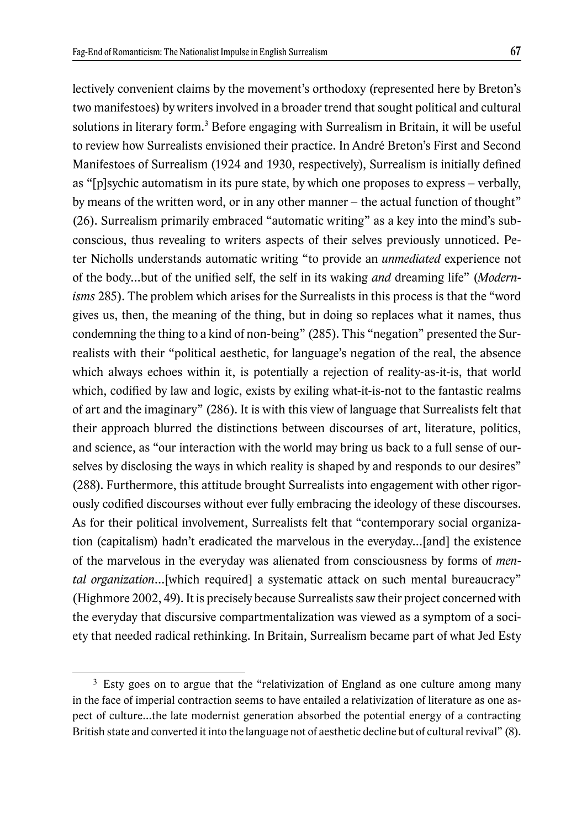lectively convenient claims by the movement's orthodoxy (represented here by Breton's two manifestoes) by writers involved in a broader trend that sought political and cultural solutions in literary form.<sup>3</sup> Before engaging with Surrealism in Britain, it will be useful to review how Surrealists envisioned their practice. In André Breton's First and Second Manifestoes of Surrealism (1924 and 1930, respectively), Surrealism is initially defined as "[p]sychic automatism in its pure state, by which one proposes to express – verbally, by means of the written word, or in any other manner – the actual function of thought" (26). Surrealism primarily embraced "automatic writing" as a key into the mind's subconscious, thus revealing to writers aspects of their selves previously unnoticed. Peter Nicholls understands automatic writing "to provide an *unmediated* experience not of the body...but of the unified self, the self in its waking *and* dreaming life" (*Modernisms* 285). The problem which arises for the Surrealists in this process is that the "word gives us, then, the meaning of the thing, but in doing so replaces what it names, thus condemning the thing to a kind of non-being" (285). This "negation" presented the Surrealists with their "political aesthetic, for language's negation of the real, the absence which always echoes within it, is potentially a rejection of reality-as-it-is, that world which, codified by law and logic, exists by exiling what-it-is-not to the fantastic realms of art and the imaginary" (286). It is with this view of language that Surrealists felt that their approach blurred the distinctions between discourses of art, literature, politics, and science, as "our interaction with the world may bring us back to a full sense of ourselves by disclosing the ways in which reality is shaped by and responds to our desires" (288). Furthermore, this attitude brought Surrealists into engagement with other rigorously codified discourses without ever fully embracing the ideology of these discourses. As for their political involvement, Surrealists felt that "contemporary social organization (capitalism) hadn't eradicated the marvelous in the everyday…[and] the existence of the marvelous in the everyday was alienated from consciousness by forms of *mental organization*...[which required] a systematic attack on such mental bureaucracy" (Highmore 2002, 49). It is precisely because Surrealists saw their project concerned with the everyday that discursive compartmentalization was viewed as a symptom of a society that needed radical rethinking. In Britain, Surrealism became part of what Jed Esty

<sup>&</sup>lt;sup>3</sup> Esty goes on to argue that the "relativization of England as one culture among many in the face of imperial contraction seems to have entailed a relativization of literature as one aspect of culture…the late modernist generation absorbed the potential energy of a contracting British state and converted it into the language not of aesthetic decline but of cultural revival" (8).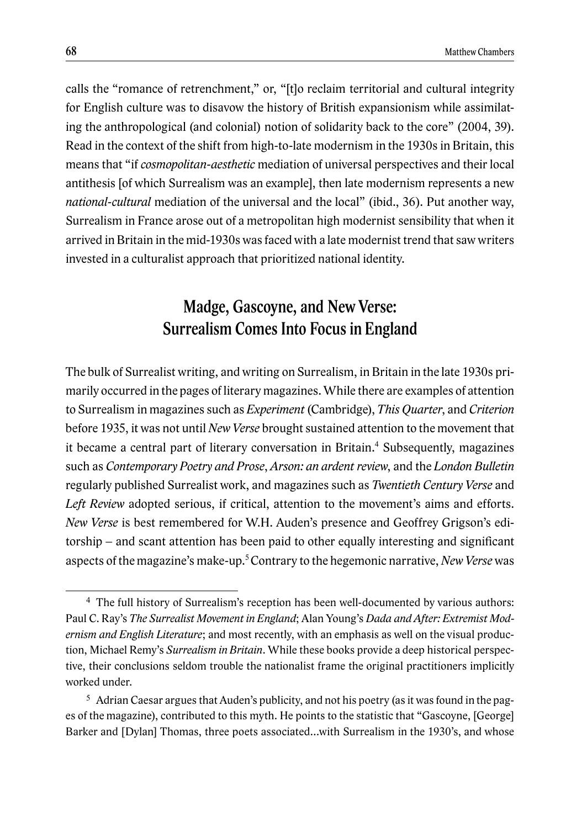calls the "romance of retrenchment," or, "[t]o reclaim territorial and cultural integrity for English culture was to disavow the history of British expansionism while assimilating the anthropological (and colonial) notion of solidarity back to the core" (2004, 39). Read in the context of the shift from high-to-late modernism in the 1930s in Britain, this means that "if *cosmopolitan-aesthetic* mediation of universal perspectives and their local antithesis [of which Surrealism was an example], then late modernism represents a new *national-cultural* mediation of the universal and the local" (ibid., 36). Put another way, Surrealism in France arose out of a metropolitan high modernist sensibility that when it arrived in Britain in the mid-1930s was faced with a late modernist trend that saw writers invested in a culturalist approach that prioritized national identity.

## Madge, Gascoyne, and New Verse: Surrealism Comes Into Focus in England

The bulk of Surrealist writing, and writing on Surrealism, in Britain in the late 1930s primarily occurred in the pages of literary magazines. While there are examples of attention to Surrealism in magazines such as *Experiment* (Cambridge), *This Quarter*, and *Criterion* before 1935, it was not until *New Verse* brought sustained attention to the movement that it became a central part of literary conversation in Britain.<sup>4</sup> Subsequently, magazines such as *Contemporary Poetry and Prose*, *Arson: an ardent review*, and the *London Bulletin* regularly published Surrealist work, and magazines such as *Twentieth Century Verse* and *Left Review* adopted serious, if critical, attention to the movement's aims and efforts. *New Verse* is best remembered for W.H. Auden's presence and Geoffrey Grigson's edi $t$  torship – and scant attention has been paid to other equally interesting and significant aspects of the magazine's make-up.5 Contrary to the hegemonic narrative, *New Verse* was

<sup>4</sup> The full history of Surrealism's reception has been well-documented by various authors: Paul C. Ray's *The Surrealist Movement in England*; Alan Young's *Dada and After: Extremist Modernism and English Literature*; and most recently, with an emphasis as well on the visual production, Michael Remy's *Surrealism in Britain*. While these books provide a deep historical perspective, their conclusions seldom trouble the nationalist frame the original practitioners implicitly worked under.

<sup>5</sup> Adrian Caesar argues that Auden's publicity, and not his poetry (as it was found in the pages of the magazine), contributed to this myth. He points to the statistic that "Gascoyne, [George] Barker and [Dylan] Thomas, three poets associated…with Surrealism in the 1930's, and whose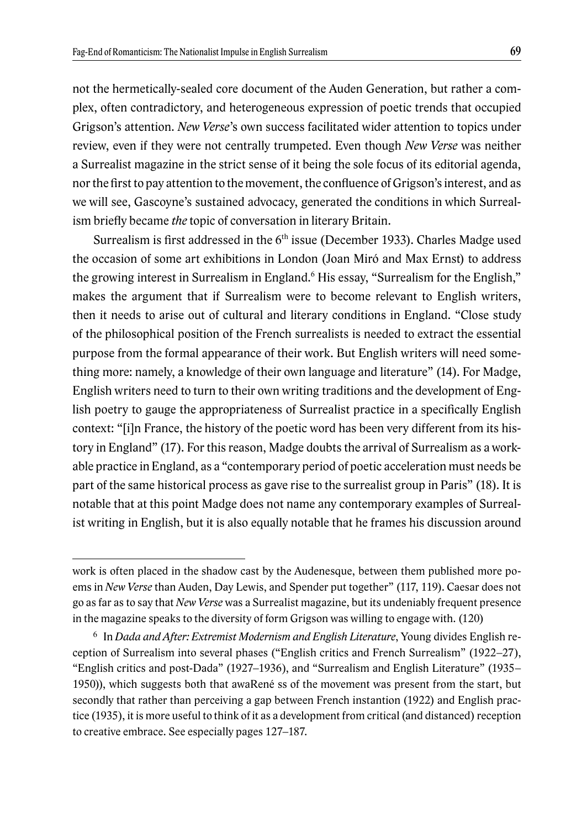not the hermetically-sealed core document of the Auden Generation, but rather a complex, often contradictory, and heterogeneous expression of poetic trends that occupied Grigson's attention. *New Verse*'s own success facilitated wider attention to topics under review, even if they were not centrally trumpeted. Even though *New Verse* was neither a Surrealist magazine in the strict sense of it being the sole focus of its editorial agenda, nor the first to pay attention to the movement, the confluence of Grigson's interest, and as we will see, Gascoyne's sustained advocacy, generated the conditions in which Surrealism briefly became *the* topic of conversation in literary Britain.

Surrealism is first addressed in the 6<sup>th</sup> issue (December 1933). Charles Madge used the occasion of some art exhibitions in London (Joan Miró and Max Ernst) to address the growing interest in Surrealism in England.<sup>6</sup> His essay, "Surrealism for the English," makes the argument that if Surrealism were to become relevant to English writers, then it needs to arise out of cultural and literary conditions in England. "Close study of the philosophical position of the French surrealists is needed to extract the essential purpose from the formal appearance of their work. But English writers will need something more: namely, a knowledge of their own language and literature" (14). For Madge, English writers need to turn to their own writing traditions and the development of English poetry to gauge the appropriateness of Surrealist practice in a specifically English context: "[i]n France, the history of the poetic word has been very different from its history in England" (17). For this reason, Madge doubts the arrival of Surrealism as a workable practice in England, as a "contemporary period of poetic acceleration must needs be part of the same historical process as gave rise to the surrealist group in Paris" (18). It is notable that at this point Madge does not name any contemporary examples of Surrealist writing in English, but it is also equally notable that he frames his discussion around

work is often placed in the shadow cast by the Audenesque, between them published more poems in *New Verse* than Auden, Day Lewis, and Spender put together" (117, 119). Caesar does not go as far as to say that *New Verse* was a Surrealist magazine, but its undeniably frequent presence in the magazine speaks to the diversity of form Grigson was willing to engage with. (120)

<sup>6</sup> In *Dada and After: Extremist Modernism and English Literature*, Young divides English reception of Surrealism into several phases ("English critics and French Surrealism" (1922–27), "English critics and post-Dada" (1927–1936), and "Surrealism and English Literature" (1935– 1950)), which suggests both that awaRené ss of the movement was present from the start, but secondly that rather than perceiving a gap between French instantion (1922) and English practice (1935), it is more useful to think of it as a development from critical (and distanced) reception to creative embrace. See especially pages 127–187.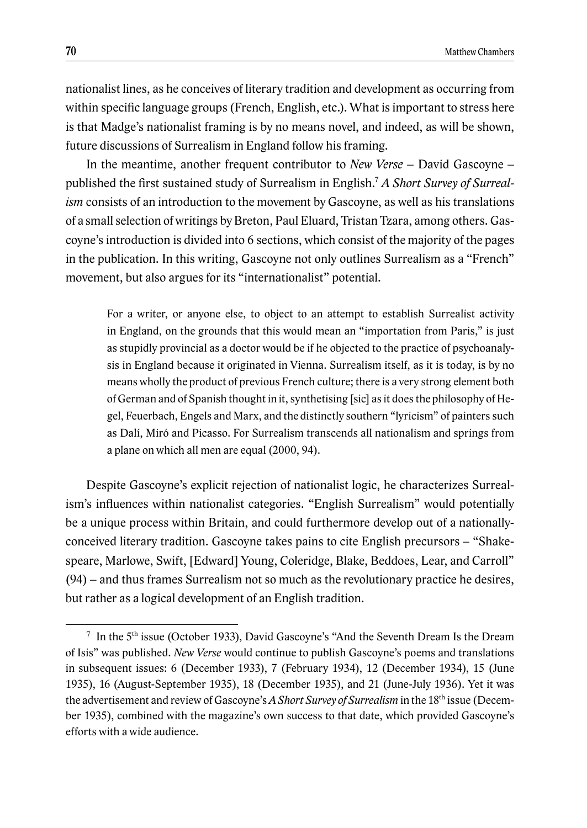nationalist lines, as he conceives of literary tradition and development as occurring from within specific language groups (French, English, etc.). What is important to stress here is that Madge's nationalist framing is by no means novel, and indeed, as will be shown, future discussions of Surrealism in England follow his framing.

In the meantime, another frequent contributor to *New Verse* – David Gascoyne – published the first sustained study of Surrealism in English.<sup>7</sup> *A Short Survey of Surrealism* consists of an introduction to the movement by Gascoyne, as well as his translations of a small selection of writings by Breton, Paul Eluard, Tristan Tzara, among others. Gascoyne's introduction is divided into 6 sections, which consist of the majority of the pages in the publication. In this writing, Gascoyne not only outlines Surrealism as a "French" movement, but also argues for its "internationalist" potential.

For a writer, or anyone else, to object to an attempt to establish Surrealist activity in England, on the grounds that this would mean an "importation from Paris," is just as stupidly provincial as a doctor would be if he objected to the practice of psychoanalysis in England because it originated in Vienna. Surrealism itself, as it is today, is by no means wholly the product of previous French culture; there is a very strong element both of German and of Spanish thought in it, synthetising [sic] as it does the philosophy of Hegel, Feuerbach, Engels and Marx, and the distinctly southern "lyricism" of painters such as Dalí, Miró and Picasso. For Surrealism transcends all nationalism and springs from a plane on which all men are equal (2000, 94).

Despite Gascoyne's explicit rejection of nationalist logic, he characterizes Surrealism's influences within nationalist categories. "English Surrealism" would potentially be a unique process within Britain, and could furthermore develop out of a nationallyconceived literary tradition. Gascoyne takes pains to cite English precursors – "Shakespeare, Marlowe, Swift, [Edward] Young, Coleridge, Blake, Beddoes, Lear, and Carroll" (94) – and thus frames Surrealism not so much as the revolutionary practice he desires, but rather as a logical development of an English tradition.

 $7 \text{ In the 5th issue (October 1933), David Gascovne's "And the Seventh Dream Is the Dream.}$ of Isis" was published. *New Verse* would continue to publish Gascoyne's poems and translations in subsequent issues: 6 (December 1933), 7 (February 1934), 12 (December 1934), 15 (June 1935), 16 (August-September 1935), 18 (December 1935), and 21 (June-July 1936). Yet it was the advertisement and review of Gascoyne's *A Short Survey of Surrealism* in the 18<sup>th</sup> issue (December 1935), combined with the magazine's own success to that date, which provided Gascoyne's efforts with a wide audience.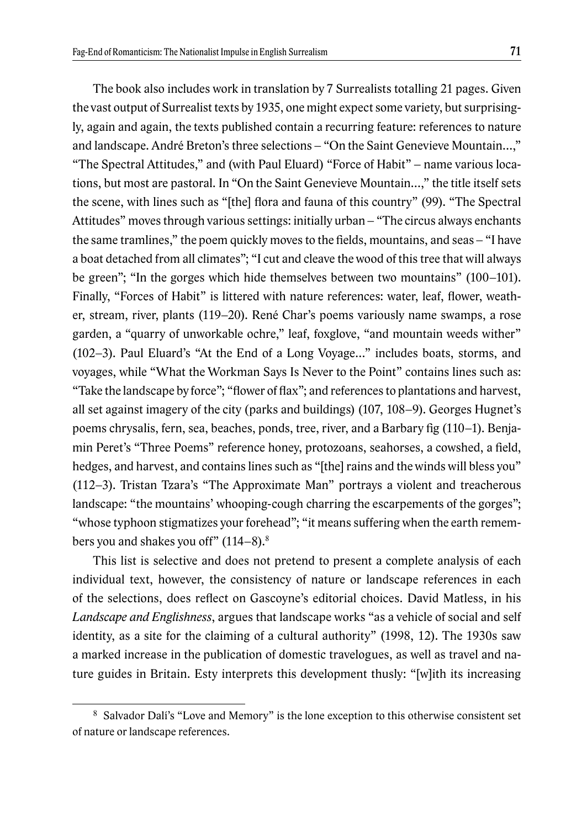The book also includes work in translation by 7 Surrealists totalling 21 pages. Given the vast output of Surrealist texts by 1935, one might expect some variety, but surprisingly, again and again, the texts published contain a recurring feature: references to nature and landscape. André Breton's three selections – "On the Saint Genevieve Mountain…," "The Spectral Attitudes," and (with Paul Eluard) "Force of Habit" – name various locations, but most are pastoral. In "On the Saint Genevieve Mountain…," the title itself sets the scene, with lines such as "[the] flora and fauna of this country" (99). "The Spectral Attitudes" moves through various settings: initially urban – "The circus always enchants the same tramlines," the poem quickly moves to the fields, mountains, and seas  $-$  "I have a boat detached from all climates"; "I cut and cleave the wood of this tree that will always be green"; "In the gorges which hide themselves between two mountains" (100–101). Finally, "Forces of Habit" is littered with nature references: water, leaf, flower, weather, stream, river, plants (119–20). René Char's poems variously name swamps, a rose garden, a "quarry of unworkable ochre," leaf, foxglove, "and mountain weeds wither" (102–3). Paul Eluard's "At the End of a Long Voyage…" includes boats, storms, and voyages, while "What the Workman Says Is Never to the Point" contains lines such as: "Take the landscape by force"; "flower of flax"; and references to plantations and harvest, all set against imagery of the city (parks and buildings) (107, 108–9). Georges Hugnet's poems chrysalis, fern, sea, beaches, ponds, tree, river, and a Barbary fig (110–1). Benjamin Peret's "Three Poems" reference honey, protozoans, seahorses, a cowshed, a field, hedges, and harvest, and contains lines such as "[the] rains and the winds will bless you" (112–3). Tristan Tzara's "The Approximate Man" portrays a violent and treacherous landscape: "the mountains' whooping-cough charring the escarpements of the gorges"; "whose typhoon stigmatizes your forehead"; "it means suffering when the earth remembers you and shakes you off"  $(114-8)$ .<sup>8</sup>

This list is selective and does not pretend to present a complete analysis of each individual text, however, the consistency of nature or landscape references in each of the selections, does reflect on Gascoyne's editorial choices. David Matless, in his *Landscape and Englishness*, argues that landscape works "as a vehicle of social and self identity, as a site for the claiming of a cultural authority" (1998, 12). The 1930s saw a marked increase in the publication of domestic travelogues, as well as travel and nature guides in Britain. Esty interprets this development thusly: "[w]ith its increasing

<sup>8</sup> Salvador Dalí's "Love and Memory" is the lone exception to this otherwise consistent set of nature or landscape references.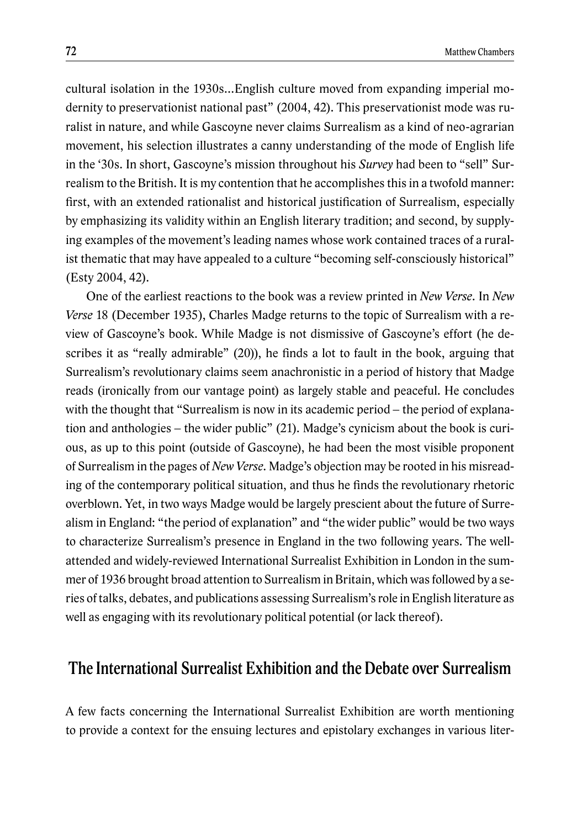cultural isolation in the 1930s…English culture moved from expanding imperial modernity to preservationist national past" (2004, 42). This preservationist mode was ruralist in nature, and while Gascoyne never claims Surrealism as a kind of neo-agrarian movement, his selection illustrates a canny understanding of the mode of English life in the '30s. In short, Gascoyne's mission throughout his *Survey* had been to "sell" Surrealism to the British. It is my contention that he accomplishes this in a twofold manner: first, with an extended rationalist and historical justification of Surrealism, especially by emphasizing its validity within an English literary tradition; and second, by supplying examples of the movement's leading names whose work contained traces of a ruralist thematic that may have appealed to a culture "becoming self-consciously historical" (Esty 2004, 42).

One of the earliest reactions to the book was a review printed in *New Verse*. In *New Verse* 18 (December 1935), Charles Madge returns to the topic of Surrealism with a review of Gascoyne's book. While Madge is not dismissive of Gascoyne's effort (he describes it as "really admirable"  $(20)$ ), he finds a lot to fault in the book, arguing that Surrealism's revolutionary claims seem anachronistic in a period of history that Madge reads (ironically from our vantage point) as largely stable and peaceful. He concludes with the thought that "Surrealism is now in its academic period – the period of explanation and anthologies – the wider public" (21). Madge's cynicism about the book is curious, as up to this point (outside of Gascoyne), he had been the most visible proponent of Surrealism in the pages of *New Verse*. Madge's objection may be rooted in his misreading of the contemporary political situation, and thus he finds the revolutionary rhetoric overblown. Yet, in two ways Madge would be largely prescient about the future of Surrealism in England: "the period of explanation" and "the wider public" would be two ways to characterize Surrealism's presence in England in the two following years. The wellattended and widely-reviewed International Surrealist Exhibition in London in the summer of 1936 brought broad attention to Surrealism in Britain, which was followed by a series of talks, debates, and publications assessing Surrealism's role in English literature as well as engaging with its revolutionary political potential (or lack thereof).

#### The International Surrealist Exhibition and the Debate over Surrealism

A few facts concerning the International Surrealist Exhibition are worth mentioning to provide a context for the ensuing lectures and epistolary exchanges in various liter-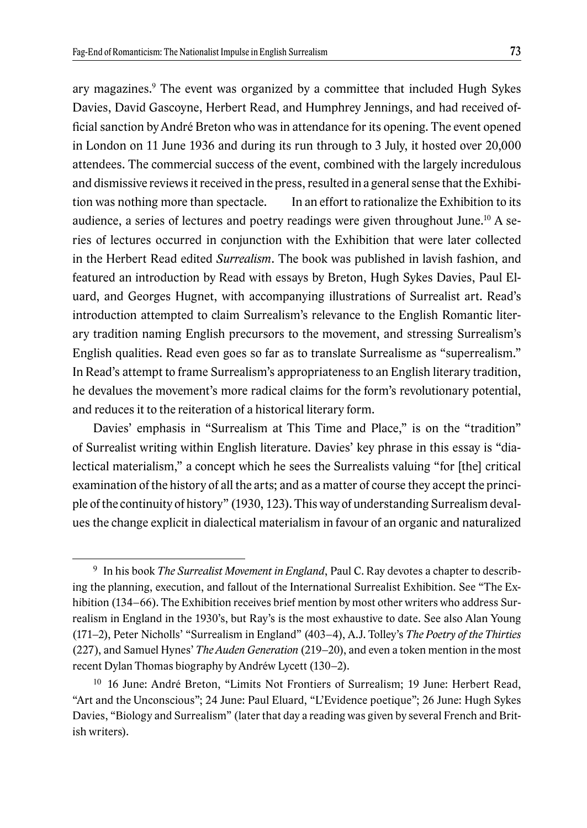ary magazines.<sup>9</sup> The event was organized by a committee that included Hugh Sykes Davies, David Gascoyne, Herbert Read, and Humphrey Jennings, and had received official sanction by André Breton who was in attendance for its opening. The event opened in London on 11 June 1936 and during its run through to 3 July, it hosted over 20,000 attendees. The commercial success of the event, combined with the largely incredulous and dismissive reviews it received in the press, resulted in a general sense that the Exhibition was nothing more than spectacle. In an effort to rationalize the Exhibition to its audience, a series of lectures and poetry readings were given throughout June.<sup>10</sup> A series of lectures occurred in conjunction with the Exhibition that were later collected in the Herbert Read edited *Surrealism*. The book was published in lavish fashion, and featured an introduction by Read with essays by Breton, Hugh Sykes Davies, Paul Eluard, and Georges Hugnet, with accompanying illustrations of Surrealist art. Read's introduction attempted to claim Surrealism's relevance to the English Romantic literary tradition naming English precursors to the movement, and stressing Surrealism's English qualities. Read even goes so far as to translate Surrealisme as "superrealism." In Read's attempt to frame Surrealism's appropriateness to an English literary tradition, he devalues the movement's more radical claims for the form's revolutionary potential, and reduces it to the reiteration of a historical literary form.

Davies' emphasis in "Surrealism at This Time and Place," is on the "tradition" of Surrealist writing within English literature. Davies' key phrase in this essay is "dialectical materialism," a concept which he sees the Surrealists valuing "for [the] critical examination of the history of all the arts; and as a matter of course they accept the principle of the continuity of history" (1930, 123). This way of understanding Surrealism devalues the change explicit in dialectical materialism in favour of an organic and naturalized

<sup>9</sup> In his book *The Surrealist Movement in England*, Paul C. Ray devotes a chapter to describing the planning, execution, and fallout of the International Surrealist Exhibition. See "The Exhibition (134–66). The Exhibition receives brief mention by most other writers who address Surrealism in England in the 1930's, but Ray's is the most exhaustive to date. See also Alan Young (171–2), Peter Nicholls' "Surrealism in England" (403–4), A.J. Tolley's *The Poetry of the Thirties*  (227), and Samuel Hynes' *The Auden Generation* (219–20), and even a token mention in the most recent Dylan Thomas biography by Andréw Lycett (130–2).

<sup>10</sup> 16 June: André Breton, "Limits Not Frontiers of Surrealism; 19 June: Herbert Read, "Art and the Unconscious"; 24 June: Paul Eluard, "L'Evidence poetique"; 26 June: Hugh Sykes Davies, "Biology and Surrealism" (later that day a reading was given by several French and British writers).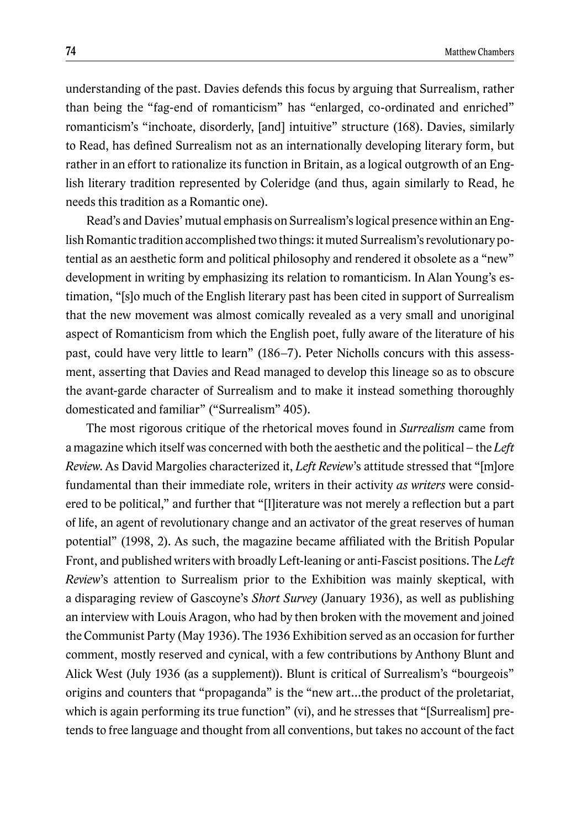understanding of the past. Davies defends this focus by arguing that Surrealism, rather than being the "fag-end of romanticism" has "enlarged, co-ordinated and enriched" romanticism's "inchoate, disorderly, [and] intuitive" structure (168). Davies, similarly to Read, has defined Surrealism not as an internationally developing literary form, but rather in an effort to rationalize its function in Britain, as a logical outgrowth of an English literary tradition represented by Coleridge (and thus, again similarly to Read, he needs this tradition as a Romantic one).

Read's and Davies' mutual emphasis on Surrealism's logical presence within an English Romantic tradition accomplished two things: it muted Surrealism's revolutionary potential as an aesthetic form and political philosophy and rendered it obsolete as a "new" development in writing by emphasizing its relation to romanticism. In Alan Young's estimation, "[s]o much of the English literary past has been cited in support of Surrealism that the new movement was almost comically revealed as a very small and unoriginal aspect of Romanticism from which the English poet, fully aware of the literature of his past, could have very little to learn" (186–7). Peter Nicholls concurs with this assessment, asserting that Davies and Read managed to develop this lineage so as to obscure the avant-garde character of Surrealism and to make it instead something thoroughly domesticated and familiar" ("Surrealism" 405).

The most rigorous critique of the rhetorical moves found in *Surrealism* came from a magazine which itself was concerned with both the aesthetic and the political – the *Left Review*. As David Margolies characterized it, *Left Review*'s attitude stressed that "[m]ore fundamental than their immediate role, writers in their activity *as writers* were considered to be political," and further that "[I]iterature was not merely a reflection but a part of life, an agent of revolutionary change and an activator of the great reserves of human potential" (1998, 2). As such, the magazine became affiliated with the British Popular Front, and published writers with broadly Left-leaning or anti-Fascist positions. The *Left Review*'s attention to Surrealism prior to the Exhibition was mainly skeptical, with a disparaging review of Gascoyne's *Short Survey* (January 1936), as well as publishing an interview with Louis Aragon, who had by then broken with the movement and joined the Communist Party (May 1936). The 1936 Exhibition served as an occasion for further comment, mostly reserved and cynical, with a few contributions by Anthony Blunt and Alick West (July 1936 (as a supplement)). Blunt is critical of Surrealism's "bourgeois" origins and counters that "propaganda" is the "new art…the product of the proletariat, which is again performing its true function" (vi), and he stresses that "[Surrealism] pretends to free language and thought from all conventions, but takes no account of the fact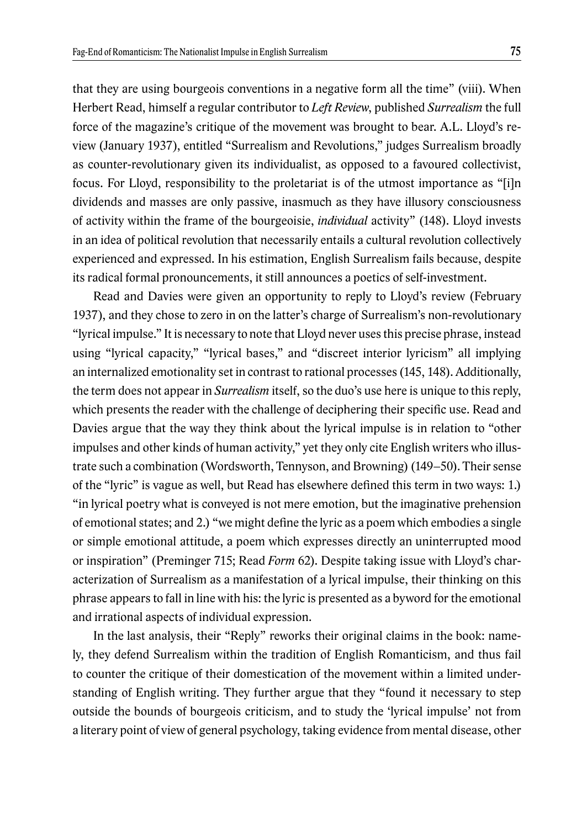that they are using bourgeois conventions in a negative form all the time" (viii). When Herbert Read, himself a regular contributor to *Left Review*, published *Surrealism* the full force of the magazine's critique of the movement was brought to bear. A.L. Lloyd's review (January 1937), entitled "Surrealism and Revolutions," judges Surrealism broadly as counter-revolutionary given its individualist, as opposed to a favoured collectivist, focus. For Lloyd, responsibility to the proletariat is of the utmost importance as "[i]n dividends and masses are only passive, inasmuch as they have illusory consciousness of activity within the frame of the bourgeoisie, *individual* activity" (148). Lloyd invests in an idea of political revolution that necessarily entails a cultural revolution collectively experienced and expressed. In his estimation, English Surrealism fails because, despite its radical formal pronouncements, it still announces a poetics of self-investment.

Read and Davies were given an opportunity to reply to Lloyd's review (February 1937), and they chose to zero in on the latter's charge of Surrealism's non-revolutionary "lyrical impulse." It is necessary to note that Lloyd never uses this precise phrase, instead using "lyrical capacity," "lyrical bases," and "discreet interior lyricism" all implying an internalized emotionality set in contrast to rational processes (145, 148). Additionally, the term does not appear in *Surrealism* itself, so the duo's use here is unique to this reply, which presents the reader with the challenge of deciphering their specific use. Read and Davies argue that the way they think about the lyrical impulse is in relation to "other impulses and other kinds of human activity," yet they only cite English writers who illustrate such a combination (Wordsworth, Tennyson, and Browning) (149–50). Their sense of the "lyric" is vague as well, but Read has elsewhere defined this term in two ways: 1.) "in lyrical poetry what is conveyed is not mere emotion, but the imaginative prehension of emotional states; and 2.) "we might define the lyric as a poem which embodies a single or simple emotional attitude, a poem which expresses directly an uninterrupted mood or inspiration" (Preminger 715; Read *Form* 62). Despite taking issue with Lloyd's characterization of Surrealism as a manifestation of a lyrical impulse, their thinking on this phrase appears to fall in line with his: the lyric is presented as a byword for the emotional and irrational aspects of individual expression.

In the last analysis, their "Reply" reworks their original claims in the book: namely, they defend Surrealism within the tradition of English Romanticism, and thus fail to counter the critique of their domestication of the movement within a limited understanding of English writing. They further argue that they "found it necessary to step outside the bounds of bourgeois criticism, and to study the 'lyrical impulse' not from a literary point of view of general psychology, taking evidence from mental disease, other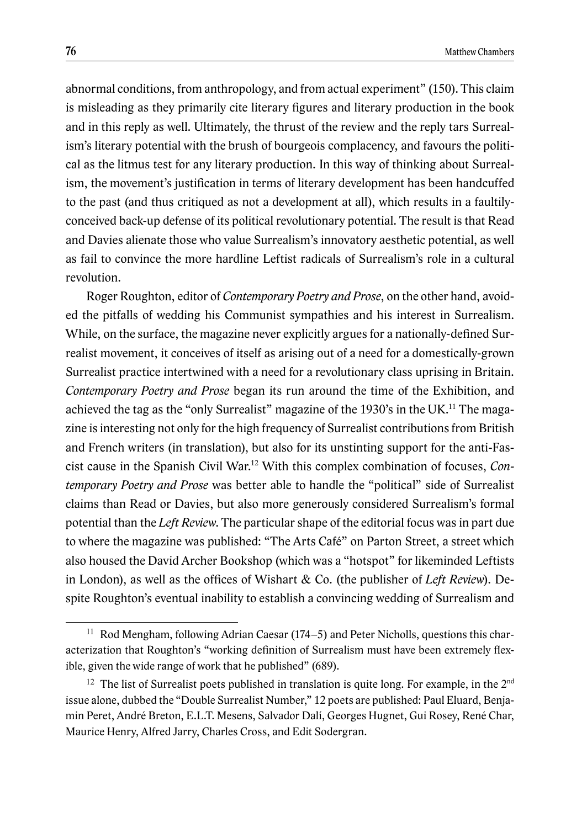abnormal conditions, from anthropology, and from actual experiment" (150). This claim is misleading as they primarily cite literary figures and literary production in the book and in this reply as well. Ultimately, the thrust of the review and the reply tars Surrealism's literary potential with the brush of bourgeois complacency, and favours the political as the litmus test for any literary production. In this way of thinking about Surrealism, the movement's justification in terms of literary development has been handcuffed to the past (and thus critiqued as not a development at all), which results in a faultilyconceived back-up defense of its political revolutionary potential. The result is that Read and Davies alienate those who value Surrealism's innovatory aesthetic potential, as well as fail to convince the more hardline Leftist radicals of Surrealism's role in a cultural revolution.

Roger Roughton, editor of *Contemporary Poetry and Prose*, on the other hand, avoided the pitfalls of wedding his Communist sympathies and his interest in Surrealism. While, on the surface, the magazine never explicitly argues for a nationally-defined Surrealist movement, it conceives of itself as arising out of a need for a domestically-grown Surrealist practice intertwined with a need for a revolutionary class uprising in Britain. *Contemporary Poetry and Prose* began its run around the time of the Exhibition, and achieved the tag as the "only Surrealist" magazine of the 1930's in the UK.<sup>11</sup> The magazine is interesting not only for the high frequency of Surrealist contributions from British and French writers (in translation), but also for its unstinting support for the anti-Fascist cause in the Spanish Civil War.12 With this complex combination of focuses, *Contemporary Poetry and Prose* was better able to handle the "political" side of Surrealist claims than Read or Davies, but also more generously considered Surrealism's formal potential than the *Left Review*. The particular shape of the editorial focus was in part due to where the magazine was published: "The Arts Café" on Parton Street, a street which also housed the David Archer Bookshop (which was a "hotspot" for likeminded Leftists in London), as well as the offices of Wishart & Co. (the publisher of *Left Review*). Despite Roughton's eventual inability to establish a convincing wedding of Surrealism and

<sup>&</sup>lt;sup>11</sup> Rod Mengham, following Adrian Caesar (174–5) and Peter Nicholls, questions this characterization that Roughton's "working definition of Surrealism must have been extremely flexible, given the wide range of work that he published" (689).

<sup>&</sup>lt;sup>12</sup> The list of Surrealist poets published in translation is quite long. For example, in the  $2<sup>nd</sup>$ issue alone, dubbed the "Double Surrealist Number," 12 poets are published: Paul Eluard, Benjamin Peret, André Breton, E.L.T. Mesens, Salvador Dalí, Georges Hugnet, Gui Rosey, René Char, Maurice Henry, Alfred Jarry, Charles Cross, and Edit Sodergran.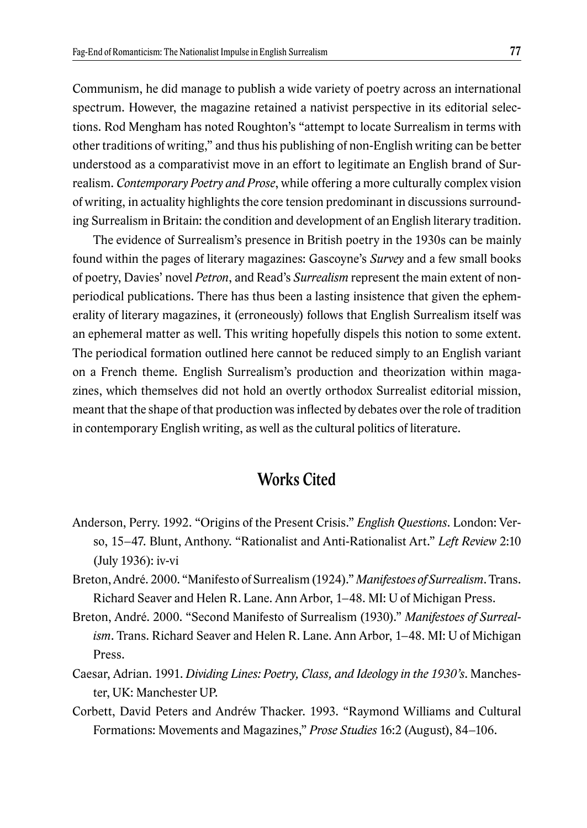Communism, he did manage to publish a wide variety of poetry across an international spectrum. However, the magazine retained a nativist perspective in its editorial selections. Rod Mengham has noted Roughton's "attempt to locate Surrealism in terms with other traditions of writing," and thus his publishing of non-English writing can be better understood as a comparativist move in an effort to legitimate an English brand of Surrealism. *Contemporary Poetry and Prose*, while offering a more culturally complex vision of writing, in actuality highlights the core tension predominant in discussions surrounding Surrealism in Britain: the condition and development of an English literary tradition.

The evidence of Surrealism's presence in British poetry in the 1930s can be mainly found within the pages of literary magazines: Gascoyne's *Survey* and a few small books of poetry, Davies' novel *Petron*, and Read's *Surrealism* represent the main extent of nonperiodical publications. There has thus been a lasting insistence that given the ephemerality of literary magazines, it (erroneously) follows that English Surrealism itself was an ephemeral matter as well. This writing hopefully dispels this notion to some extent. The periodical formation outlined here cannot be reduced simply to an English variant on a French theme. English Surrealism's production and theorization within magazines, which themselves did not hold an overtly orthodox Surrealist editorial mission, meant that the shape of that production was inflected by debates over the role of tradition in contemporary English writing, as well as the cultural politics of literature.

## Works Cited

- Anderson, Perry. 1992. "Origins of the Present Crisis." *English Questions*. London: Verso, 15–47. Blunt, Anthony. "Rationalist and Anti-Rationalist Art." *Left Review* 2:10 (July 1936): iv-vi
- Breton, André. 2000. "Manifesto of Surrealism (1924)." *Manifestoes of Surrealism*. Trans. Richard Seaver and Helen R. Lane. Ann Arbor, 1–48. MI: U of Michigan Press.
- Breton, André. 2000. "Second Manifesto of Surrealism (1930)." *Manifestoes of Surrealism*. Trans. Richard Seaver and Helen R. Lane. Ann Arbor, 1–48. MI: U of Michigan Press.
- Caesar, Adrian. 1991. *Dividing Lines: Poetry, Class, and Ideology in the 1930's*. Manchester, UK: Manchester UP.
- Corbett, David Peters and Andréw Thacker. 1993. "Raymond Williams and Cultural Formations: Movements and Magazines," *Prose Studies* 16:2 (August), 84–106.